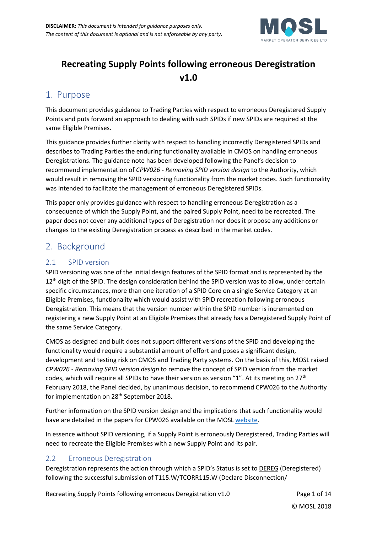

# **Recreating Supply Points following erroneous Deregistration v1.0**

## 1. Purpose

This document provides guidance to Trading Parties with respect to erroneous Deregistered Supply Points and puts forward an approach to dealing with such SPIDs if new SPIDs are required at the same Eligible Premises.

This guidance provides further clarity with respect to handling incorrectly Deregistered SPIDs and describes to Trading Parties the enduring functionality available in CMOS on handling erroneous Deregistrations. The guidance note has been developed following the Panel's decision to recommend implementation of *CPW026 - Removing SPID version design* to the Authority, which would result in removing the SPID versioning functionality from the market codes. Such functionality was intended to facilitate the management of erroneous Deregistered SPIDs.

This paper only provides guidance with respect to handling erroneous Deregistration as a consequence of which the Supply Point, and the paired Supply Point, need to be recreated. The paper does not cover any additional types of Deregistration nor does it propose any additions or changes to the existing Deregistration process as described in the market codes.

# 2. Background

## 2.1 SPID version

SPID versioning was one of the initial design features of the SPID format and is represented by the 12<sup>th</sup> digit of the SPID. The design consideration behind the SPID version was to allow, under certain specific circumstances, more than one iteration of a SPID Core on a single Service Category at an Eligible Premises, functionality which would assist with SPID recreation following erroneous Deregistration. This means that the version number within the SPID number is incremented on registering a new Supply Point at an Eligible Premises that already has a Deregistered Supply Point of the same Service Category.

CMOS as designed and built does not support different versions of the SPID and developing the functionality would require a substantial amount of effort and poses a significant design, development and testing risk on CMOS and Trading Party systems. On the basis of this, MOSL raised *CPW026 - Removing SPID version design* to remove the concept of SPID version from the market codes, which will require all SPIDs to have their version as version "1". At its meeting on  $27<sup>th</sup>$ February 2018, the Panel decided, by unanimous decision, to recommend CPW026 to the Authority for implementation on 28<sup>th</sup> September 2018.

Further information on the SPID version design and the implications that such functionality would have are detailed in the papers for CPW026 available on the MOS[L website.](https://www.mosl.co.uk/market-codes/change/details/38/removing-spid-version-design)

In essence without SPID versioning, if a Supply Point is erroneously Deregistered, Trading Parties will need to recreate the Eligible Premises with a new Supply Point and its pair.

### 2.2 Erroneous Deregistration

Deregistration represents the action through which a SPID's Status is set to DEREG (Deregistered) following the successful submission of T115.W/TCORR115.W (Declare Disconnection/

Recreating Supply Points following erroneous Deregistration v1.0 Page 1 of 14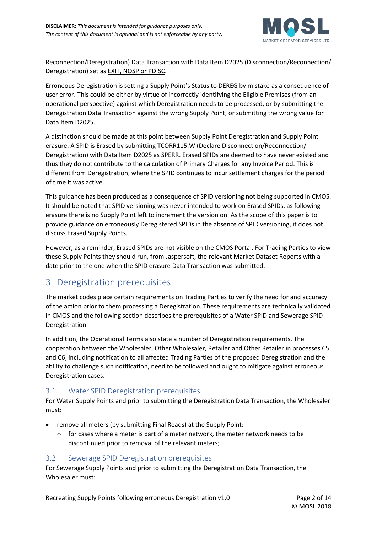

Reconnection/Deregistration) Data Transaction with Data Item D2025 (Disconnection/Reconnection/ Deregistration) set as EXIT, NOSP or PDISC.

Erroneous Deregistration is setting a Supply Point's Status to DEREG by mistake as a consequence of user error. This could be either by virtue of incorrectly identifying the Eligible Premises (from an operational perspective) against which Deregistration needs to be processed, or by submitting the Deregistration Data Transaction against the wrong Supply Point, or submitting the wrong value for Data Item D2025.

A distinction should be made at this point between Supply Point Deregistration and Supply Point erasure. A SPID is Erased by submitting TCORR115.W (Declare Disconnection/Reconnection/ Deregistration) with Data Item D2025 as SPERR. Erased SPIDs are deemed to have never existed and thus they do not contribute to the calculation of Primary Charges for any Invoice Period. This is different from Deregistration, where the SPID continues to incur settlement charges for the period of time it was active.

This guidance has been produced as a consequence of SPID versioning not being supported in CMOS. It should be noted that SPID versioning was never intended to work on Erased SPIDs, as following erasure there is no Supply Point left to increment the version on. As the scope of this paper is to provide guidance on erroneously Deregistered SPIDs in the absence of SPID versioning, it does not discuss Erased Supply Points.

However, as a reminder, Erased SPIDs are not visible on the CMOS Portal. For Trading Parties to view these Supply Points they should run, from Jaspersoft, the relevant Market Dataset Reports with a date prior to the one when the SPID erasure Data Transaction was submitted.

# 3. Deregistration prerequisites

The market codes place certain requirements on Trading Parties to verify the need for and accuracy of the action prior to them processing a Deregistration. These requirements are technically validated in CMOS and the following section describes the prerequisites of a Water SPID and Sewerage SPID Deregistration.

In addition, the Operational Terms also state a number of Deregistration requirements. The cooperation between the Wholesaler, Other Wholesaler, Retailer and Other Retailer in processes C5 and C6, including notification to all affected Trading Parties of the proposed Deregistration and the ability to challenge such notification, need to be followed and ought to mitigate against erroneous Deregistration cases.

## 3.1 Water SPID Deregistration prerequisites

For Water Supply Points and prior to submitting the Deregistration Data Transaction, the Wholesaler must:

- remove all meters (by submitting Final Reads) at the Supply Point:
	- $\circ$  for cases where a meter is part of a meter network, the meter network needs to be discontinued prior to removal of the relevant meters;

### 3.2 Sewerage SPID Deregistration prerequisites

For Sewerage Supply Points and prior to submitting the Deregistration Data Transaction, the Wholesaler must:

Recreating Supply Points following erroneous Deregistration v1.0 Page 2 of 14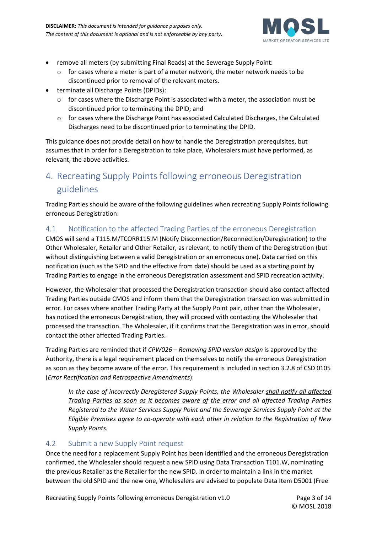

- remove all meters (by submitting Final Reads) at the Sewerage Supply Point:
	- $\circ$  for cases where a meter is part of a meter network, the meter network needs to be discontinued prior to removal of the relevant meters.
- terminate all Discharge Points (DPIDs):
	- $\circ$  for cases where the Discharge Point is associated with a meter, the association must be discontinued prior to terminating the DPID; and
	- o for cases where the Discharge Point has associated Calculated Discharges, the Calculated Discharges need to be discontinued prior to terminating the DPID.

This guidance does not provide detail on how to handle the Deregistration prerequisites, but assumes that in order for a Deregistration to take place, Wholesalers must have performed, as relevant, the above activities.

# 4. Recreating Supply Points following erroneous Deregistration guidelines

Trading Parties should be aware of the following guidelines when recreating Supply Points following erroneous Deregistration:

### 4.1 Notification to the affected Trading Parties of the erroneous Deregistration

CMOS will send a T115.M/TCORR115.M (Notify Disconnection/Reconnection/Deregistration) to the Other Wholesaler, Retailer and Other Retailer, as relevant, to notify them of the Deregistration (but without distinguishing between a valid Deregistration or an erroneous one). Data carried on this notification (such as the SPID and the effective from date) should be used as a starting point by Trading Parties to engage in the erroneous Deregistration assessment and SPID recreation activity.

However, the Wholesaler that processed the Deregistration transaction should also contact affected Trading Parties outside CMOS and inform them that the Deregistration transaction was submitted in error. For cases where another Trading Party at the Supply Point pair, other than the Wholesaler, has noticed the erroneous Deregistration, they will proceed with contacting the Wholesaler that processed the transaction. The Wholesaler, if it confirms that the Deregistration was in error, should contact the other affected Trading Parties.

Trading Parties are reminded that if *CPW026 – Removing SPID version design* is approved by the Authority, there is a legal requirement placed on themselves to notify the erroneous Deregistration as soon as they become aware of the error. This requirement is included in section 3.2.8 of CSD 0105 (*Error Rectification and Retrospective Amendments*):

*In the case of incorrectly Deregistered Supply Points, the Wholesaler shall notify all affected Trading Parties as soon as it becomes aware of the error and all affected Trading Parties Registered to the Water Services Supply Point and the Sewerage Services Supply Point at the Eligible Premises agree to co-operate with each other in relation to the Registration of New Supply Points.*

### 4.2 Submit a new Supply Point request

Once the need for a replacement Supply Point has been identified and the erroneous Deregistration confirmed, the Wholesaler should request a new SPID using Data Transaction T101.W, nominating the previous Retailer as the Retailer for the new SPID. In order to maintain a link in the market between the old SPID and the new one, Wholesalers are advised to populate Data Item D5001 (Free

Recreating Supply Points following erroneous Deregistration v1.0 Page 3 of 14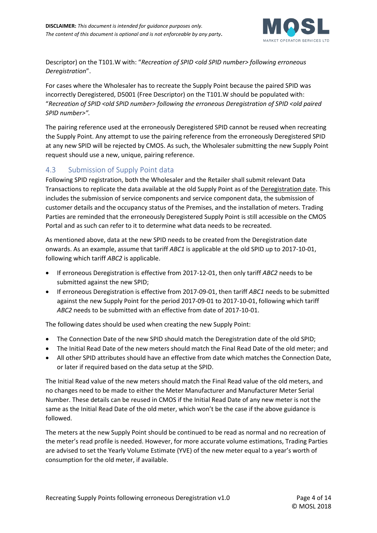

Descriptor) on the T101.W with: "Recreation of SPID <old SPID number> following erroneous *Deregistration*".

For cases where the Wholesaler has to recreate the Supply Point because the paired SPID was incorrectly Deregistered, D5001 (Free Descriptor) on the T101.W should be populated with: "*Recreation of SPID <old SPID number> following the erroneous Deregistration of SPID <old paired SPID number>".*

The pairing reference used at the erroneously Deregistered SPID cannot be reused when recreating the Supply Point. Any attempt to use the pairing reference from the erroneously Deregistered SPID at any new SPID will be rejected by CMOS. As such, the Wholesaler submitting the new Supply Point request should use a new, unique, pairing reference.

### 4.3 Submission of Supply Point data

Following SPID registration, both the Wholesaler and the Retailer shall submit relevant Data Transactions to replicate the data available at the old Supply Point as of the Deregistration date. This includes the submission of service components and service component data, the submission of customer details and the occupancy status of the Premises, and the installation of meters. Trading Parties are reminded that the erroneously Deregistered Supply Point is still accessible on the CMOS Portal and as such can refer to it to determine what data needs to be recreated.

As mentioned above, data at the new SPID needs to be created from the Deregistration date onwards. As an example, assume that tariff *ABC1* is applicable at the old SPID up to 2017-10-01, following which tariff *ABC2* is applicable.

- If erroneous Deregistration is effective from 2017-12-01, then only tariff *ABC2* needs to be submitted against the new SPID;
- If erroneous Deregistration is effective from 2017-09-01, then tariff *ABC1* needs to be submitted against the new Supply Point for the period 2017-09-01 to 2017-10-01, following which tariff *ABC2* needs to be submitted with an effective from date of 2017-10-01.

The following dates should be used when creating the new Supply Point:

- The Connection Date of the new SPID should match the Deregistration date of the old SPID;
- The Initial Read Date of the new meters should match the Final Read Date of the old meter; and
- All other SPID attributes should have an effective from date which matches the Connection Date, or later if required based on the data setup at the SPID.

The Initial Read value of the new meters should match the Final Read value of the old meters, and no changes need to be made to either the Meter Manufacturer and Manufacturer Meter Serial Number. These details can be reused in CMOS if the Initial Read Date of any new meter is not the same as the Initial Read Date of the old meter, which won't be the case if the above guidance is followed.

The meters at the new Supply Point should be continued to be read as normal and no recreation of the meter's read profile is needed. However, for more accurate volume estimations, Trading Parties are advised to set the Yearly Volume Estimate (YVE) of the new meter equal to a year's worth of consumption for the old meter, if available.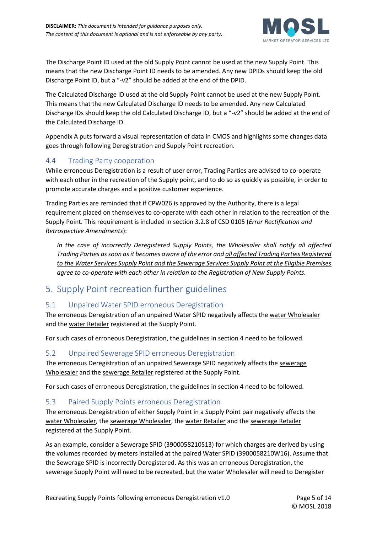

The Discharge Point ID used at the old Supply Point cannot be used at the new Supply Point. This means that the new Discharge Point ID needs to be amended. Any new DPIDs should keep the old Discharge Point ID, but a "-v2" should be added at the end of the DPID.

The Calculated Discharge ID used at the old Supply Point cannot be used at the new Supply Point. This means that the new Calculated Discharge ID needs to be amended. Any new Calculated Discharge IDs should keep the old Calculated Discharge ID, but a "-v2" should be added at the end of the Calculated Discharge ID.

Appendix A puts forward a visual representation of data in CMOS and highlights some changes data goes through following Deregistration and Supply Point recreation.

### 4.4 Trading Party cooperation

While erroneous Deregistration is a result of user error, Trading Parties are advised to co-operate with each other in the recreation of the Supply point, and to do so as quickly as possible, in order to promote accurate charges and a positive customer experience.

Trading Parties are reminded that if CPW026 is approved by the Authority, there is a legal requirement placed on themselves to co-operate with each other in relation to the recreation of the Supply Point. This requirement is included in section 3.2.8 of CSD 0105 (*Error Rectification and Retrospective Amendments*):

*In the case of incorrectly Deregistered Supply Points, the Wholesaler shall notify all affected Trading Parties as soon as it becomes aware of the error and all affected Trading Parties Registered to the Water Services Supply Point and the Sewerage Services Supply Point at the Eligible Premises agree to co-operate with each other in relation to the Registration of New Supply Points.*

## 5. Supply Point recreation further guidelines

### 5.1 Unpaired Water SPID erroneous Deregistration

The erroneous Deregistration of an unpaired Water SPID negatively affects the water Wholesaler and the water Retailer registered at the Supply Point.

For such cases of erroneous Deregistration, the guidelines in section 4 need to be followed.

### 5.2 Unpaired Sewerage SPID erroneous Deregistration

The erroneous Deregistration of an unpaired Sewerage SPID negatively affects the sewerage Wholesaler and the sewerage Retailer registered at the Supply Point.

For such cases of erroneous Deregistration, the guidelines in section 4 need to be followed.

### 5.3 Paired Supply Points erroneous Deregistration

The erroneous Deregistration of either Supply Point in a Supply Point pair negatively affects the water Wholesaler, the sewerage Wholesaler, the water Retailer and the sewerage Retailer registered at the Supply Point.

As an example, consider a Sewerage SPID (3900058210S13) for which charges are derived by using the volumes recorded by meters installed at the paired Water SPID (3900058210W16). Assume that the Sewerage SPID is incorrectly Deregistered. As this was an erroneous Deregistration, the sewerage Supply Point will need to be recreated, but the water Wholesaler will need to Deregister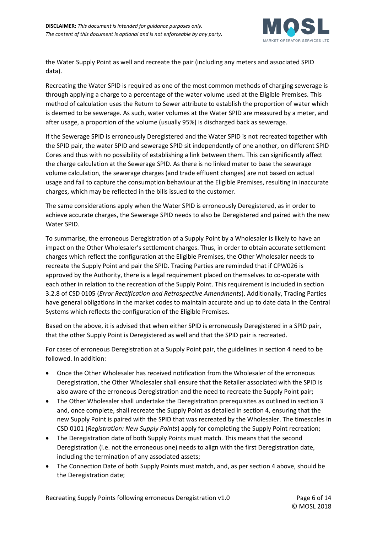

the Water Supply Point as well and recreate the pair (including any meters and associated SPID data).

Recreating the Water SPID is required as one of the most common methods of charging sewerage is through applying a charge to a percentage of the water volume used at the Eligible Premises. This method of calculation uses the Return to Sewer attribute to establish the proportion of water which is deemed to be sewerage. As such, water volumes at the Water SPID are measured by a meter, and after usage, a proportion of the volume (usually 95%) is discharged back as sewerage.

If the Sewerage SPID is erroneously Deregistered and the Water SPID is not recreated together with the SPID pair, the water SPID and sewerage SPID sit independently of one another, on different SPID Cores and thus with no possibility of establishing a link between them. This can significantly affect the charge calculation at the Sewerage SPID. As there is no linked meter to base the sewerage volume calculation, the sewerage charges (and trade effluent changes) are not based on actual usage and fail to capture the consumption behaviour at the Eligible Premises, resulting in inaccurate charges, which may be reflected in the bills issued to the customer.

The same considerations apply when the Water SPID is erroneously Deregistered, as in order to achieve accurate charges, the Sewerage SPID needs to also be Deregistered and paired with the new Water SPID.

To summarise, the erroneous Deregistration of a Supply Point by a Wholesaler is likely to have an impact on the Other Wholesaler's settlement charges. Thus, in order to obtain accurate settlement charges which reflect the configuration at the Eligible Premises, the Other Wholesaler needs to recreate the Supply Point and pair the SPID. Trading Parties are reminded that if CPW026 is approved by the Authority, there is a legal requirement placed on themselves to co-operate with each other in relation to the recreation of the Supply Point. This requirement is included in section 3.2.8 of CSD 0105 (*Error Rectification and Retrospective Amendments*). Additionally, Trading Parties have general obligations in the market codes to maintain accurate and up to date data in the Central Systems which reflects the configuration of the Eligible Premises.

Based on the above, it is advised that when either SPID is erroneously Deregistered in a SPID pair, that the other Supply Point is Deregistered as well and that the SPID pair is recreated.

For cases of erroneous Deregistration at a Supply Point pair, the guidelines in section 4 need to be followed. In addition:

- Once the Other Wholesaler has received notification from the Wholesaler of the erroneous Deregistration, the Other Wholesaler shall ensure that the Retailer associated with the SPID is also aware of the erroneous Deregistration and the need to recreate the Supply Point pair;
- The Other Wholesaler shall undertake the Deregistration prerequisites as outlined in section 3 and, once complete, shall recreate the Supply Point as detailed in section 4, ensuring that the new Supply Point is paired with the SPID that was recreated by the Wholesaler. The timescales in CSD 0101 (*Registration: New Supply Points*) apply for completing the Supply Point recreation;
- The Deregistration date of both Supply Points must match. This means that the second Deregistration (i.e. not the erroneous one) needs to align with the first Deregistration date, including the termination of any associated assets;
- The Connection Date of both Supply Points must match, and, as per section 4 above, should be the Deregistration date;

Recreating Supply Points following erroneous Deregistration v1.0 Page 6 of 14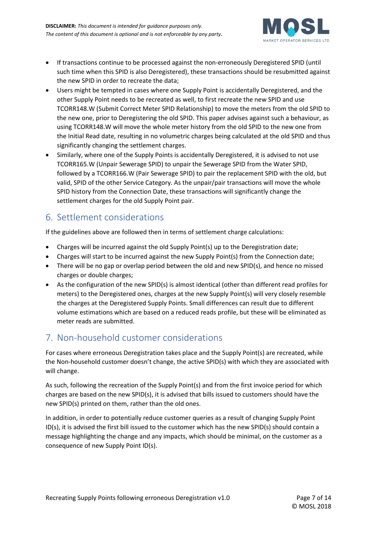

- If transactions continue to be processed against the non-erroneously Deregistered SPID (until such time when this SPID is also Deregistered), these transactions should be resubmitted against the new SPID in order to recreate the data;
- Users might be tempted in cases where one Supply Point is accidentally Deregistered, and the other Supply Point needs to be recreated as well, to first recreate the new SPID and use TCORR148.W (Submit Correct Meter SPID Relationship) to move the meters from the old SPID to the new one, prior to Deregistering the old SPID. This paper advises against such a behaviour, as using TCORR148.W will move the whole meter history from the old SPID to the new one from the Initial Read date, resulting in no volumetric charges being calculated at the old SPID and thus significantly changing the settlement charges.
- Similarly, where one of the Supply Points is accidentally Deregistered, it is advised to not use TCORR165.W (Unpair Sewerage SPID) to unpair the Sewerage SPID from the Water SPID, followed by a TCORR166.W (Pair Sewerage SPID) to pair the replacement SPID with the old, but valid, SPID of the other Service Category. As the unpair/pair transactions will move the whole SPID history from the Connection Date, these transactions will significantly change the settlement charges for the old Supply Point pair.

# 6. Settlement considerations

If the guidelines above are followed then in terms of settlement charge calculations:

- Charges will be incurred against the old Supply Point(s) up to the Deregistration date;
- Charges will start to be incurred against the new Supply Point(s) from the Connection date;
- There will be no gap or overlap period between the old and new SPID(s), and hence no missed charges or double charges;
- As the configuration of the new SPID(s) is almost identical (other than different read profiles for meters) to the Deregistered ones, charges at the new Supply Point(s) will very closely resemble the charges at the Deregistered Supply Points. Small differences can result due to different volume estimations which are based on a reduced reads profile, but these will be eliminated as meter reads are submitted.

# 7. Non-household customer considerations

For cases where erroneous Deregistration takes place and the Supply Point(s) are recreated, while the Non-household customer doesn't change, the active SPID(s) with which they are associated with will change.

As such, following the recreation of the Supply Point(s) and from the first invoice period for which charges are based on the new SPID(s), it is advised that bills issued to customers should have the new SPID(s) printed on them, rather than the old ones.

In addition, in order to potentially reduce customer queries as a result of changing Supply Point ID(s), it is advised the first bill issued to the customer which has the new SPID(s) should contain a message highlighting the change and any impacts, which should be minimal, on the customer as a consequence of new Supply Point ID(s).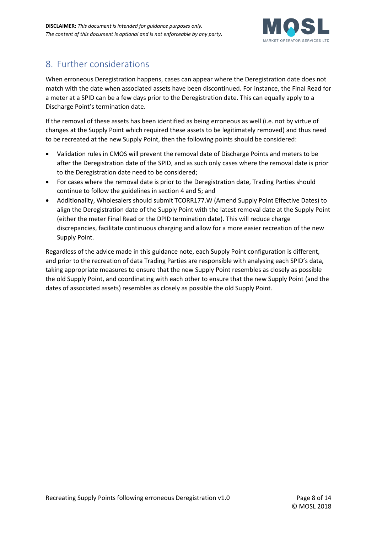

# 8. Further considerations

When erroneous Deregistration happens, cases can appear where the Deregistration date does not match with the date when associated assets have been discontinued. For instance, the Final Read for a meter at a SPID can be a few days prior to the Deregistration date. This can equally apply to a Discharge Point's termination date.

If the removal of these assets has been identified as being erroneous as well (i.e. not by virtue of changes at the Supply Point which required these assets to be legitimately removed) and thus need to be recreated at the new Supply Point, then the following points should be considered:

- Validation rules in CMOS will prevent the removal date of Discharge Points and meters to be after the Deregistration date of the SPID, and as such only cases where the removal date is prior to the Deregistration date need to be considered;
- For cases where the removal date is prior to the Deregistration date, Trading Parties should continue to follow the guidelines in section 4 and 5; and
- Additionality, Wholesalers should submit TCORR177.W (Amend Supply Point Effective Dates) to align the Deregistration date of the Supply Point with the latest removal date at the Supply Point (either the meter Final Read or the DPID termination date). This will reduce charge discrepancies, facilitate continuous charging and allow for a more easier recreation of the new Supply Point.

Regardless of the advice made in this guidance note, each Supply Point configuration is different, and prior to the recreation of data Trading Parties are responsible with analysing each SPID's data, taking appropriate measures to ensure that the new Supply Point resembles as closely as possible the old Supply Point, and coordinating with each other to ensure that the new Supply Point (and the dates of associated assets) resembles as closely as possible the old Supply Point.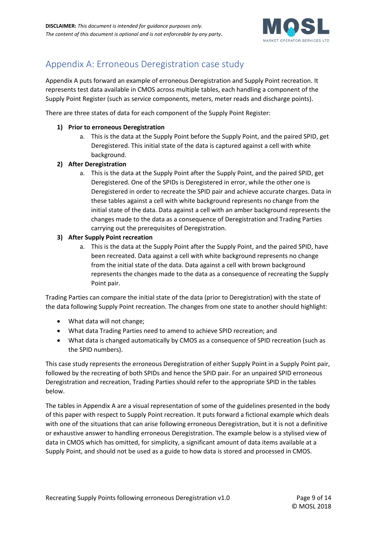

# Appendix A: Erroneous Deregistration case study

Appendix A puts forward an example of erroneous Deregistration and Supply Point recreation. It represents test data available in CMOS across multiple tables, each handling a component of the Supply Point Register (such as service components, meters, meter reads and discharge points).

There are three states of data for each component of the Supply Point Register:

#### **1) Prior to erroneous Deregistration**

a. This is the data at the Supply Point before the Supply Point, and the paired SPID, get Deregistered. This initial state of the data is captured against a cell with white background.

#### **2) After Deregistration**

a. This is the data at the Supply Point after the Supply Point, and the paired SPID, get Deregistered. One of the SPIDs is Deregistered in error, while the other one is Deregistered in order to recreate the SPID pair and achieve accurate charges. Data in these tables against a cell with white background represents no change from the initial state of the data. Data against a cell with an amber background represents the changes made to the data as a consequence of Deregistration and Trading Parties carrying out the prerequisites of Deregistration.

#### **3) After Supply Point recreation**

a. This is the data at the Supply Point after the Supply Point, and the paired SPID, have been recreated. Data against a cell with white background represents no change from the initial state of the data. Data against a cell with brown background represents the changes made to the data as a consequence of recreating the Supply Point pair.

Trading Parties can compare the initial state of the data (prior to Deregistration) with the state of the data following Supply Point recreation. The changes from one state to another should highlight:

- What data will not change;
- What data Trading Parties need to amend to achieve SPID recreation; and
- What data is changed automatically by CMOS as a consequence of SPID recreation (such as the SPID numbers).

This case study represents the erroneous Deregistration of either Supply Point in a Supply Point pair, followed by the recreating of both SPIDs and hence the SPID pair. For an unpaired SPID erroneous Deregistration and recreation, Trading Parties should refer to the appropriate SPID in the tables below.

The tables in Appendix A are a visual representation of some of the guidelines presented in the body of this paper with respect to Supply Point recreation. It puts forward a fictional example which deals with one of the situations that can arise following erroneous Deregistration, but it is not a definitive or exhaustive answer to handling erroneous Deregistration. The example below is a stylised view of data in CMOS which has omitted, for simplicity, a significant amount of data items available at a Supply Point, and should not be used as a guide to how data is stored and processed in CMOS.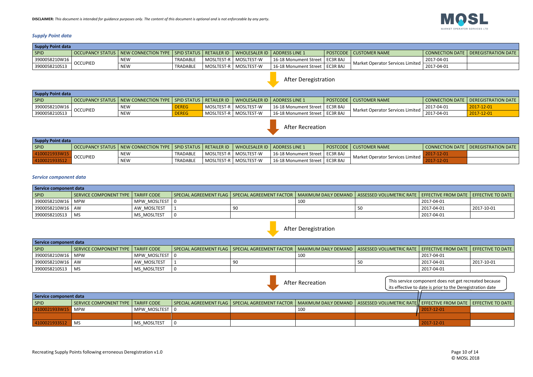### *Supply Point data*

| <b>Supply Point data</b> |                 |                                                                                                     |                 |  |  |                                  |  |                                                              |            |                                       |  |  |
|--------------------------|-----------------|-----------------------------------------------------------------------------------------------------|-----------------|--|--|----------------------------------|--|--------------------------------------------------------------|------------|---------------------------------------|--|--|
| <b>SPID</b>              |                 | OCCUPANCY STATUS   NEW CONNECTION TYPE   SPID STATUS   RETAILER ID   WHOLESALER ID   ADDRESS LINE 1 |                 |  |  |                                  |  | POSTCODE   CUSTOMER NAME                                     |            | CONNECTION DATE   DEREGISTRATION DATE |  |  |
| 3900058210W16            |                 | NEW                                                                                                 | TRADABLE        |  |  | 16-18 Monument Street   EC3R 8AJ |  | $\frac{1}{2}$ Market Operator Services Limited $\frac{1}{2}$ | 2017-04-01 |                                       |  |  |
| 3900058210S13            | <b>OCCUPIED</b> | <b>NEW</b>                                                                                          | <b>TRADABLE</b> |  |  | 16-18 Monument Street   EC3R 8AJ |  |                                                              | 2017-04-01 |                                       |  |  |

| Supply Point data |                 |                                                                                                     |              |  |                         |                                  |  |                                  |            |                                       |  |
|-------------------|-----------------|-----------------------------------------------------------------------------------------------------|--------------|--|-------------------------|----------------------------------|--|----------------------------------|------------|---------------------------------------|--|
| SPID              |                 | OCCUPANCY STATUS   NEW CONNECTION TYPE   SPID STATUS   RETAILER ID   WHOLESALER ID   ADDRESS LINE 1 |              |  |                         |                                  |  | POSTCODE   CUSTOMER NAME         |            | CONNECTION DATE   DEREGISTRATION DATE |  |
| 3900058210W16     |                 | <b>NEW</b>                                                                                          | <b>DEREG</b> |  | MOSLTEST-R   MOSLTEST-W | 16-18 Monument Street   EC3R 8AJ |  |                                  | 2017-04-01 | 2017-12-01                            |  |
| 3900058210S13     | <b>OCCUPIED</b> | NEW                                                                                                 | DEREG        |  | MOSLTEST-R   MOSLTEST-W | 16-18 Monument Street   EC3R 8AJ |  | Market Operator Services Limited | 2017-04-01 | 2017-12-01                            |  |

| <b>Supply Point data</b> |                 |                                                                                                     |          |  |  |                                  |  |                                                 |  |                                       |  |  |
|--------------------------|-----------------|-----------------------------------------------------------------------------------------------------|----------|--|--|----------------------------------|--|-------------------------------------------------|--|---------------------------------------|--|--|
| <b>SPID</b>              |                 | OCCUPANCY STATUS   NEW CONNECTION TYPE   SPID STATUS   RETAILER ID   WHOLESALER ID   ADDRESS LINE 1 |          |  |  |                                  |  | POSTCODE   CUSTOMER NAME                        |  | CONNECTION DATE   DEREGISTRATION DATE |  |  |
|                          |                 | <b>NEW</b>                                                                                          | TRADABLE |  |  | 16-18 Monument Street   EC3R 8AJ |  |                                                 |  |                                       |  |  |
|                          | <b>OCCUPIED</b> | <b>NEW</b>                                                                                          | TRADABLE |  |  | 16-18 Monument Street   EC3R 8AJ |  | √ Market Operator Services Limited <del> </del> |  |                                       |  |  |

#### *Service component data*

| Service component data |                                      |                  |  |                                                                                                                                               |  |  |            |            |  |  |
|------------------------|--------------------------------------|------------------|--|-----------------------------------------------------------------------------------------------------------------------------------------------|--|--|------------|------------|--|--|
| SPID                   | SERVICE COMPONENT TYPE   TARIFF CODE |                  |  | SPECIAL AGREEMENT FLAG   SPECIAL AGREEMENT FACTOR   MAXIMUM DAILY DEMAND   ASSESSED VOLUMETRIC RATE   EFFECTIVE FROM DATE   EFFECTIVE TO DATE |  |  |            |            |  |  |
| 3900058210W16   MPW    |                                      | MPW MOSLTEST   0 |  |                                                                                                                                               |  |  | 2017-04-01 |            |  |  |
| 3900058210W16   AW     |                                      | AW MOSLTEST      |  |                                                                                                                                               |  |  | 2017-04-01 | 2017-10-01 |  |  |
| 3900058210S13          | I MS                                 | MS MOSLTEST      |  |                                                                                                                                               |  |  | 2017-04-01 |            |  |  |

| Service component data |                                      |                  |  |                                                                                                                                               |  |  |            |            |  |  |
|------------------------|--------------------------------------|------------------|--|-----------------------------------------------------------------------------------------------------------------------------------------------|--|--|------------|------------|--|--|
| <b>SPID</b>            | SERVICE COMPONENT TYPE   TARIFF CODE |                  |  | SPECIAL AGREEMENT FLAG   SPECIAL AGREEMENT FACTOR   MAXIMUM DAILY DEMAND   ASSESSED VOLUMETRIC RATE   EFFECTIVE FROM DATE   EFFECTIVE TO DATE |  |  |            |            |  |  |
| 3900058210W16          | <b>MPW</b>                           | MPW MOSLTEST   0 |  |                                                                                                                                               |  |  | 2017-04-01 |            |  |  |
| 3900058210W16   AW     |                                      | AW MOSLTEST      |  |                                                                                                                                               |  |  | 2017-04-01 | 2017-10-01 |  |  |
| 3900058210S13          | MS                                   | MS MOSLTEST      |  |                                                                                                                                               |  |  | 2017-04-01 |            |  |  |



|                | Service component data               |                |  |                                                                                                                                                       |  |  |            |  |  |
|----------------|--------------------------------------|----------------|--|-------------------------------------------------------------------------------------------------------------------------------------------------------|--|--|------------|--|--|
| SPID           | SERVICE COMPONENT TYPE   TARIFF CODE |                |  | SPECIAL AGREEMENT FLAG   SPECIAL AGREEMENT FACTOR   MAXIMUM DAILY DEMAND   ASSESSED VOLUMETRIC RATE  <b> </b> EFFECTIVE FROM DATE   EFFECTIVE TO DATE |  |  |            |  |  |
| l 4100021933W1 | $\blacksquare$ MPW                   | MPW MOSLTEST L |  |                                                                                                                                                       |  |  | 2017-12-01 |  |  |
|                |                                      |                |  |                                                                                                                                                       |  |  |            |  |  |
| 4100021933S12  | ' MS                                 | MS MOSLTEST    |  |                                                                                                                                                       |  |  | 2017-12-01 |  |  |







After Recreation **This service component does not get recreated because** its effective to date is prior to the Deregistration date

# After Deregistration



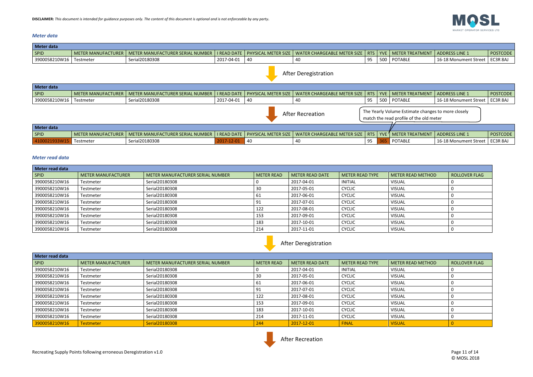#### *Meter data*

#### *Meter read data*

| Meter read data |                           |                                  |                   |                        |                        |                   |                      |
|-----------------|---------------------------|----------------------------------|-------------------|------------------------|------------------------|-------------------|----------------------|
| <b>SPID</b>     | <b>METER MANUFACTURER</b> | METER MANUFACTURER SERIAL NUMBER | <b>METER READ</b> | <b>METER READ DATE</b> | <b>METER READ TYPE</b> | METER READ METHOD | <b>ROLLOVER FLAG</b> |
| 3900058210W16   | Testmeter                 | Serial20180308                   |                   | 2017-04-01             | <b>INITIAL</b>         | <b>VISUAL</b>     |                      |
| 3900058210W16   | Testmeter                 | Serial20180308                   | 30                | 2017-05-01             | <b>CYCLIC</b>          | <b>VISUAL</b>     |                      |
| 3900058210W16   | Testmeter                 | Serial20180308                   | 61                | 2017-06-01             | <b>CYCLIC</b>          | <b>VISUAL</b>     |                      |
| 3900058210W16   | Testmeter                 | Serial20180308                   | -91               | 2017-07-01             | <b>CYCLIC</b>          | <b>VISUAL</b>     |                      |
| 3900058210W16   | Testmeter                 | Serial20180308                   | 122               | 2017-08-01             | <b>CYCLIC</b>          | <b>VISUAL</b>     |                      |
| 3900058210W16   | Testmeter                 | Serial20180308                   | 153               | 2017-09-01             | <b>CYCLIC</b>          | <b>VISUAL</b>     |                      |
| 3900058210W16   | Testmeter                 | Serial20180308                   | 183               | 2017-10-01             | <b>CYCLIC</b>          | <b>VISUAL</b>     |                      |
| 3900058210W16   | Testmeter                 | Serial20180308                   | 214               | 2017-11-01             | <b>CYCLIC</b>          | <b>VISUAL</b>     |                      |

| Meter data                                                                                                               |                           |                                  |                    |                            |                                    |    |  |                             |                       |                 |  |
|--------------------------------------------------------------------------------------------------------------------------|---------------------------|----------------------------------|--------------------|----------------------------|------------------------------------|----|--|-----------------------------|-----------------------|-----------------|--|
| SPID                                                                                                                     | <b>METER MANUFACTURER</b> | METER MANUFACTURER SERIAL NUMBER | <b>I READ DATE</b> | PHYSICAL METER SIZE        | <b>WATER CHARGEABLE METER SIZE</b> |    |  | RTS   YVE   METER TREATMENT | <b>ADDRESS LINE 1</b> | <b>POSTCODE</b> |  |
| 3900058210W16                                                                                                            | Testmeter                 | Serial20180308                   | 2017-04-01         | 40                         | 40                                 | 95 |  | 500 POTABLE                 | 16-18 Monument Street | EC3R 8AJ        |  |
| <b>After Deregistration</b>                                                                                              |                           |                                  |                    |                            |                                    |    |  |                             |                       |                 |  |
| Meter data                                                                                                               |                           |                                  |                    |                            |                                    |    |  |                             |                       |                 |  |
| SPID                                                                                                                     | <b>METER MANUFACTURER</b> | METER MANUFACTURER SERIAL NUMBER | <b>I READ DATE</b> | <b>PHYSICAL METER SIZE</b> | WATER CHARGEABLE METER SIZE        |    |  | RTS   YVE   METER TREATMENT | <b>ADDRESS LINE 1</b> | <b>POSTCODE</b> |  |
| 3900058210W16                                                                                                            | Testmeter                 | Serial20180308                   | 2017-04-01         | 40                         | 40                                 | 95 |  | 500   POTABLE               | 16-18 Monument Street | EC3R 8AJ        |  |
| The Yearly Volume Estimate changes to more closely<br><b>After Recreation</b><br>match the read profile of the old meter |                           |                                  |                    |                            |                                    |    |  |                             |                       |                 |  |
| Meter data                                                                                                               |                           |                                  |                    |                            |                                    |    |  |                             |                       |                 |  |
| SPID                                                                                                                     | <b>METER MANUFACTURER</b> | METER MANUFACTURER SERIAL NUMBER | <b>I READ DATE</b> | PHYSICAL METER SIZE        | <b>WATER CHARGEABLE METER SIZE</b> |    |  | RTS   YVE   METER TREATMENT | <b>ADDRESS LINE 1</b> | <b>POSTCODE</b> |  |
| 4100021933W15                                                                                                            | Testmeter                 | Serial20180308                   | 2017-12-01         | 40                         | 40                                 | 95 |  | <b>POTABLE</b>              | 16-18 Monument Street | EC3R 8AJ        |  |

| Meter read data |                           |                                  |            |                        |                        |                          |                      |
|-----------------|---------------------------|----------------------------------|------------|------------------------|------------------------|--------------------------|----------------------|
| SPID            | <b>METER MANUFACTURER</b> | METER MANUFACTURER SERIAL NUMBER | METER READ | <b>METER READ DATE</b> | <b>METER READ TYPE</b> | <b>METER READ METHOD</b> | <b>ROLLOVER FLAG</b> |
| 3900058210W16   | Testmeter                 | Serial20180308                   |            | 2017-04-01             | <b>INITIAL</b>         | <b>VISUAL</b>            |                      |
| 3900058210W16   | Testmeter                 | Serial20180308                   | 30         | 2017-05-01             | <b>CYCLIC</b>          | <b>VISUAL</b>            |                      |
| 3900058210W16   | Testmeter                 | Serial20180308                   | 61         | 2017-06-01             | <b>CYCLIC</b>          | <b>VISUAL</b>            |                      |
| 3900058210W16   | Testmeter                 | Serial20180308                   | 91         | 2017-07-01             | <b>CYCLIC</b>          | <b>VISUAL</b>            |                      |
| 3900058210W16   | Testmeter                 | Serial20180308                   | 122        | 2017-08-01             | <b>CYCLIC</b>          | <b>VISUAL</b>            |                      |
| 3900058210W16   | Testmeter                 | Serial20180308                   | 153        | 2017-09-01             | <b>CYCLIC</b>          | <b>VISUAL</b>            |                      |
| 3900058210W16   | Testmeter                 | Serial20180308                   | 183        | 2017-10-01             | <b>CYCLIC</b>          | <b>VISUAL</b>            |                      |
| 3900058210W16   | Testmeter                 | Serial20180308                   | 214        | 2017-11-01             | <b>CYCLIC</b>          | <b>VISUAL</b>            |                      |
| 3900058210W16   | <b>Testmeter</b>          | Serial20180308                   | 244        | 2017-12-01             | <b>FINAL</b>           | <b>VISUAL</b>            |                      |





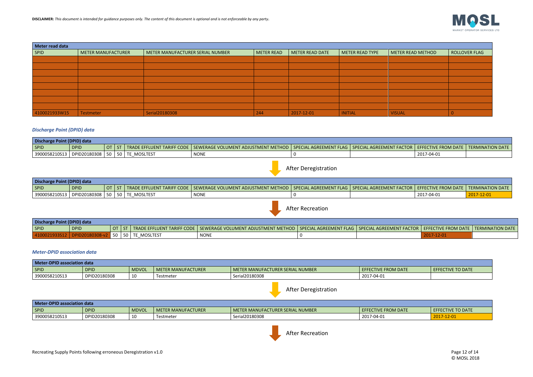| Meter read data |                           |                                  |                   |                 |                 |                   |               |  |  |  |  |
|-----------------|---------------------------|----------------------------------|-------------------|-----------------|-----------------|-------------------|---------------|--|--|--|--|
| <b>SPID</b>     | <b>METER MANUFACTURER</b> | METER MANUFACTURER SERIAL NUMBER | <b>METER READ</b> | METER READ DATE | METER READ TYPE | METER READ METHOD | ROLLOVER FLAG |  |  |  |  |
|                 |                           |                                  |                   |                 |                 |                   |               |  |  |  |  |
|                 |                           |                                  |                   |                 |                 |                   |               |  |  |  |  |
|                 |                           |                                  |                   |                 |                 |                   |               |  |  |  |  |
|                 |                           |                                  |                   |                 |                 |                   |               |  |  |  |  |
|                 |                           |                                  |                   |                 |                 |                   |               |  |  |  |  |
|                 |                           |                                  |                   |                 |                 |                   |               |  |  |  |  |
|                 |                           |                                  |                   |                 |                 |                   |               |  |  |  |  |
|                 |                           |                                  |                   |                 |                 |                   |               |  |  |  |  |
| 4100021933W15   | Testmeter                 | Serial20180308                   | 244               | 2017-12-01      | <b>INITIAL</b>  | <b>VISUAL</b>     |               |  |  |  |  |

**Discharge Point (DPID) data**  $\mid$  SPID  $\mid$  DPID  $\mid$  ot  $\mid$  st  $\mid$  trade effluent tariff code  $\mid$  sewerage volument adjustment method  $\mid$  special agreement flag  $\mid$  special agreement factor  $\mid$ 3900058210S13 DPID20180308 50 50 TE\_MOSLTEST NONE NONE 0

#### *Discharge Point (DPID) data*

**Discharge Point (DPID) data** SPID DPID  $\vert$  ot  $\vert$  st  $\vert$  trade effluent tariff code  $\vert$  sewerage volument adjustment method  $\vert$  special agreement flag  $\vert$  special agreement 4100021933S12 DPID20180308-v2 50 50 TE\_MOSLTEST NONE NONE 0

| Discharge Point (DPID) data |              |      |  |             |                                                                                                                                            |  |  |            |                  |  |
|-----------------------------|--------------|------|--|-------------|--------------------------------------------------------------------------------------------------------------------------------------------|--|--|------------|------------------|--|
| SPID                        | <b>DPID</b>  |      |  |             | TRADE EFFLUENT TARIFF CODE   SEWERAGE VOLUMENT ADJUSTMENT METHOD   SPECIAL AGREEMENT FLAG   SPECIAL AGREEMENT FACTOR   EFFECTIVE FROM DATE |  |  |            | TERMINATION DATE |  |
| 3900058210S13               | DPID20180308 | 50 I |  | TE MOSLTEST | <b>NONE</b>                                                                                                                                |  |  | 2017-04-01 |                  |  |

#### *Meter-DPID association data*

| Meter-DPID association data |              |              |                    |                                  |                            |                          |  |  |  |  |
|-----------------------------|--------------|--------------|--------------------|----------------------------------|----------------------------|--------------------------|--|--|--|--|
| SPID                        | <b>DPID</b>  | <b>MDVOL</b> | METER MANUFACTURER | METER MANUFACTURER SERIAL NUMBER | <b>EFFECTIVE FROM DATE</b> | <b>EFFECTIVE TO DATE</b> |  |  |  |  |
| 3900058210S13               | DPID20180308 | 10           | Testmeter          | Serial20180308                   | 2017-04-01                 |                          |  |  |  |  |

| Meter-DPID association data |              |              |                           |                                    |                     |                   |  |  |
|-----------------------------|--------------|--------------|---------------------------|------------------------------------|---------------------|-------------------|--|--|
| SPID                        | <b>DPID</b>  | <b>MDVOL</b> | <b>METER MANUFACTURER</b> | I METER MANUFACTURER SERIAL NUMBER | EFFECTIVE FROM DATE | EFFECTIVE TO DATE |  |  |
| 3900058210S13               | DPID20180308 | ᅩ            | Testmete                  | Serial20180308                     | 2017-04-01          | 2017-12-01        |  |  |

After Deregistration

After Recreation







| CTOR   EFFECTIVE FROM DATE   TERMINATION DATE |                  |
|-----------------------------------------------|------------------|
| 2017-04-01                                    | $2017 - 12 - 01$ |

| FACTOR   EFFECTIVE FROM DATE   TERMINATION DATE |  |
|-------------------------------------------------|--|
| $2017 - 12 - 01$                                |  |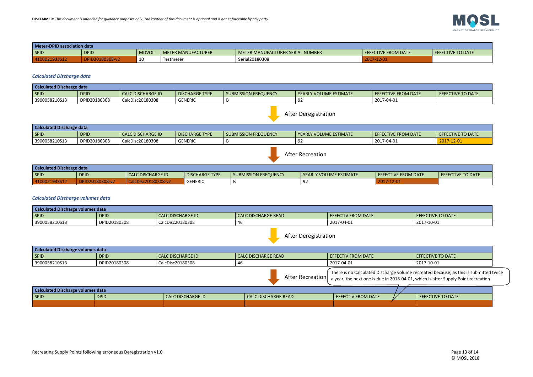| <b>Meter-DPID association data</b> |              |              |                    |                                  |                     |                          |  |  |
|------------------------------------|--------------|--------------|--------------------|----------------------------------|---------------------|--------------------------|--|--|
| <b>SPID</b>                        | <b>DPID</b>  | <b>MDVOL</b> | METER MANUFACTURER | METER MANUFACTURER SERIAL NUMBER | EFFECTIVE FROM DATE | <b>EFFECTIVE TO DATE</b> |  |  |
|                                    | 020180308-v2 | 10           | Testmeter          | Serial20180308                   | 2017-12-01          |                          |  |  |

#### *Calculated Discharge data*

| <b>Calculated Discharge data</b> |              |                          |                       |                             |                          |                            |                   |  |
|----------------------------------|--------------|--------------------------|-----------------------|-----------------------------|--------------------------|----------------------------|-------------------|--|
| SPID                             | <b>DPID</b>  | <b>CALC DISCHARGE ID</b> | <b>DISCHARGE TYPE</b> | <b>SUBMISSION FREQUENCY</b> | l YEARLY VOLUME ESTIMATE | <b>EFFECTIVE FROM DATE</b> | EFFECTIVE TO DATE |  |
| 3900058210S13                    | DPID20180308 | CalcDisc20180308         | <b>GENERIC</b>        |                             |                          | 2017-04-01                 |                   |  |

| <b>Calculated Discharge data</b> |              |                   |                       |                             |                                 |                            |                   |  |  |
|----------------------------------|--------------|-------------------|-----------------------|-----------------------------|---------------------------------|----------------------------|-------------------|--|--|
| SPID                             | <b>DPID</b>  | CALC DISCHARGE ID | <b>DISCHARGE TYPE</b> | <b>SUBMISSION FREQUENCY</b> | <b>I YEARLY VOLUME ESTIMATE</b> | <b>EFFECTIVE FROM DATE</b> | EFFECTIVE TO DATE |  |  |
| 3900058210S13                    | DPID20180308 | CalcDisc20180308  | <b>GENERIC</b>        |                             |                                 | 2017-04-01                 | 2017-12-01        |  |  |

| <b>Calculated Discharge data</b> |             |                             |                       |                      |                        |                     |                          |  |
|----------------------------------|-------------|-----------------------------|-----------------------|----------------------|------------------------|---------------------|--------------------------|--|
| SPID                             | <b>DPID</b> | <b>CALC DISCHARGE ID</b>    | <b>DISCHARGE TYPE</b> | SUBMISSION FREQUENCY | VEARLY VOLUME ESTIMATE | EFFECTIVE FROM DATE | <b>EFFECTIVE TO DATE</b> |  |
| 14100021933512                   | DPID20180   | $~c$ 20180308- $\mathbf{v}$ | <b>GENERIC</b>        |                      | シム                     | ·12-01              |                          |  |

### *Calculated Discharge volumes data*

| <b>Calculated Discharge volumes data</b> |              |                          |                            |                           |                          |  |  |
|------------------------------------------|--------------|--------------------------|----------------------------|---------------------------|--------------------------|--|--|
| SPID                                     | <b>DPID</b>  | <b>CALC DISCHARGE ID</b> | <b>CALC DISCHARGE READ</b> | <b>EFFECTIV FROM DATE</b> | <b>EFFECTIVE TO DATE</b> |  |  |
| 3900058210S13                            | DPID20180308 | CalcDisc20180308         |                            | 2017-04-01                | 2017-10-01               |  |  |

| Calculated Discharge volumes data                                                                                                                                                               |              |                          |                            |                           |                   |  |  |  |
|-------------------------------------------------------------------------------------------------------------------------------------------------------------------------------------------------|--------------|--------------------------|----------------------------|---------------------------|-------------------|--|--|--|
| <b>SPID</b>                                                                                                                                                                                     | <b>DPID</b>  | <b>CALC DISCHARGE ID</b> | <b>CALC DISCHARGE READ</b> | <b>EFFECTIV FROM DATE</b> | EFFECTIVE TO DATE |  |  |  |
| 3900058210S13                                                                                                                                                                                   | DPID20180308 | CalcDisc20180308         | 46.                        | 2017-04-01                | 2017-10-01        |  |  |  |
| There is no Calculated Discharge volume recreated because, as this is submitted twice<br>After Recreation $ $ a year, the next one is due in 2018-04-01, which is after Supply Point recreation |              |                          |                            |                           |                   |  |  |  |
| Calculated Discharge volumes data                                                                                                                                                               |              |                          |                            |                           |                   |  |  |  |
| <b>SPID</b>                                                                                                                                                                                     | <b>DPID</b>  | <b>CALC DISCHARGE ID</b> | <b>CALC DISCHARGE READ</b> | EFFECTIV FROM DATE        | EFFECTIVE TO DATE |  |  |  |
|                                                                                                                                                                                                 |              |                          |                            |                           |                   |  |  |  |





After Recreation

After Deregistration